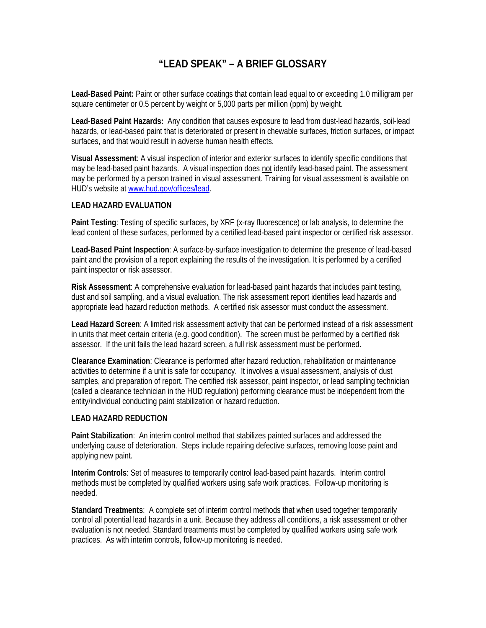# **"LEAD SPEAK" – A BRIEF GLOSSARY**

**Lead-Based Paint:** Paint or other surface coatings that contain lead equal to or exceeding 1.0 milligram per square centimeter or 0.5 percent by weight or 5,000 parts per million (ppm) by weight.

**Lead-Based Paint Hazards:** Any condition that causes exposure to lead from dust-lead hazards, soil-lead hazards, or lead-based paint that is deteriorated or present in chewable surfaces, friction surfaces, or impact surfaces, and that would result in adverse human health effects.

**Visual Assessment**: A visual inspection of interior and exterior surfaces to identify specific conditions that may be lead-based paint hazards. A visual inspection does not identify lead-based paint. The assessment may be performed by a person trained in visual assessment. Training for visual assessment is available on HUD's website at [www.hud.gov/offices/lead.](http://www.hud.gov/offices/lead)

#### **LEAD HAZARD EVALUATION**

**Paint Testing**: Testing of specific surfaces, by XRF (x-ray fluorescence) or lab analysis, to determine the lead content of these surfaces, performed by a certified lead-based paint inspector or certified risk assessor.

**Lead-Based Paint Inspection**: A surface-by-surface investigation to determine the presence of lead-based paint and the provision of a report explaining the results of the investigation. It is performed by a certified paint inspector or risk assessor.

**Risk Assessment**: A comprehensive evaluation for lead-based paint hazards that includes paint testing, dust and soil sampling, and a visual evaluation. The risk assessment report identifies lead hazards and appropriate lead hazard reduction methods. A certified risk assessor must conduct the assessment.

**Lead Hazard Screen**: A limited risk assessment activity that can be performed instead of a risk assessment in units that meet certain criteria (e.g. good condition). The screen must be performed by a certified risk assessor. If the unit fails the lead hazard screen, a full risk assessment must be performed.

**Clearance Examination**: Clearance is performed after hazard reduction, rehabilitation or maintenance activities to determine if a unit is safe for occupancy. It involves a visual assessment, analysis of dust samples, and preparation of report. The certified risk assessor, paint inspector, or lead sampling technician (called a clearance technician in the HUD regulation) performing clearance must be independent from the entity/individual conducting paint stabilization or hazard reduction.

#### **LEAD HAZARD REDUCTION**

**Paint Stabilization**: An interim control method that stabilizes painted surfaces and addressed the underlying cause of deterioration. Steps include repairing defective surfaces, removing loose paint and applying new paint.

**Interim Controls**: Set of measures to temporarily control lead-based paint hazards. Interim control methods must be completed by qualified workers using safe work practices. Follow-up monitoring is needed.

**Standard Treatments**: A complete set of interim control methods that when used together temporarily control all potential lead hazards in a unit. Because they address all conditions, a risk assessment or other evaluation is not needed. Standard treatments must be completed by qualified workers using safe work practices. As with interim controls, follow-up monitoring is needed.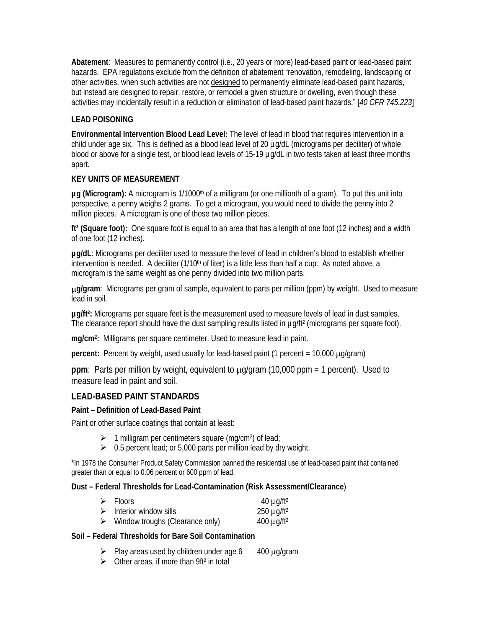**Abatement**: Measures to permanently control (i.e., 20 years or more) lead-based paint or lead-based paint hazards. EPA regulations exclude from the definition of abatement "renovation, remodeling, landscaping or other activities, when such activities are not designed to permanently eliminate lead-based paint hazards, but instead are designed to repair, restore, or remodel a given structure or dwelling, even though these activities may incidentally result in a reduction or elimination of lead-based paint hazards." [*40 CFR 745.223*]

## **LEAD POISONING**

**Environmental Intervention Blood Lead Level:** The level of lead in blood that requires intervention in a child under age six. This is defined as a blood lead level of 20 µg/dL (micrograms per deciliter) of whole blood or above for a single test, or blood lead levels of 15-19 µg/dL in two tests taken at least three months apart.

## **KEY UNITS OF MEASUREMENT**

µg (Microgram): A microgram is 1/1000<sup>th</sup> of a milligram (or one millionth of a gram). To put this unit into perspective, a penny weighs 2 grams. To get a microgram, you would need to divide the penny into 2 million pieces. A microgram is one of those two million pieces.

**ft² (Square foot):** One square foot is equal to an area that has a length of one foot (12 inches) and a width of one foot (12 inches).

**µg/dL**: Micrograms per deciliter used to measure the level of lead in children's blood to establish whether intervention is needed. A deciliter  $(1/10<sup>th</sup>$  of liter) is a little less than half a cup. As noted above, a microgram is the same weight as one penny divided into two million parts.

µ**g/gram**: Micrograms per gram of sample, equivalent to parts per million (ppm) by weight. Used to measure lead in soil.

**µg/ft²:** Micrograms per square feet is the measurement used to measure levels of lead in dust samples. The clearance report should have the dust sampling results listed in µg/ft² (micrograms per square foot).

**mg/cm2:** Milligrams per square centimeter. Used to measure lead in paint.

**percent:** Percent by weight, used usually for lead-based paint (1 percent = 10,000 μg/gram)

**ppm**: Parts per million by weight, equivalent to µg/gram (10,000 ppm = 1 percent). Used to measure lead in paint and soil.

## **LEAD-BASED PAINT STANDARDS**

## **Paint – Definition of Lead-Based Paint**

Paint or other surface coatings that contain at least:

- $\geq 1$  milligram per centimeters square (mg/cm<sup>2</sup>) of lead;
- $\geq 0.5$  percent lead; or 5,000 parts per million lead by dry weight.

\*In 1978 the Consumer Product Safety Commission banned the residential use of lead-based paint that contained greater than or equal to 0.06 percent or 600 ppm of lead.

## **Dust – Federal Thresholds for Lead-Contamination (Risk Assessment/Clearance**)

|   | $\triangleright$ Floors                | 40 $\mu$ g/ft <sup>2</sup> |
|---|----------------------------------------|----------------------------|
|   | $\triangleright$ Interior window sills | $250 \mu g / ft^2$         |
| ➤ | Window troughs (Clearance only)        | $400 \mu g / ft^2$         |

## **Soil – Federal Thresholds for Bare Soil Contamination**

- $\triangleright$  Play areas used by children under age 6 400  $\mu$ g/gram
- $\triangleright$  Other areas, if more than 9ft<sup>2</sup> in total